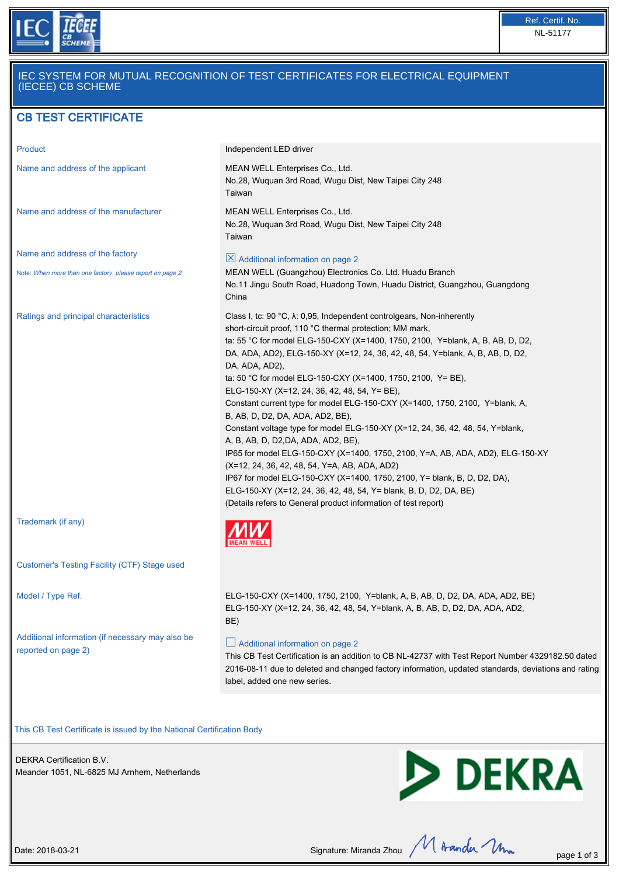

## IEC SYSTEM FOR MUTUAL RECOGNITION OF TEST CERTIFICATES FOR ELECTRICAL EQUIPMENT (IECEE) CB SCHEME

# CB TEST CERTIFICATE

| Product                                                                 | Independent LED driver                                                                                                                                                                                                                                                                                                                                                                                                                                                                                                                                                                                                                                                                                                                                                                                                                                                                                                                                                                                                                               |
|-------------------------------------------------------------------------|------------------------------------------------------------------------------------------------------------------------------------------------------------------------------------------------------------------------------------------------------------------------------------------------------------------------------------------------------------------------------------------------------------------------------------------------------------------------------------------------------------------------------------------------------------------------------------------------------------------------------------------------------------------------------------------------------------------------------------------------------------------------------------------------------------------------------------------------------------------------------------------------------------------------------------------------------------------------------------------------------------------------------------------------------|
| Name and address of the applicant                                       | MEAN WELL Enterprises Co., Ltd.<br>No.28, Wuquan 3rd Road, Wugu Dist, New Taipei City 248<br>Taiwan                                                                                                                                                                                                                                                                                                                                                                                                                                                                                                                                                                                                                                                                                                                                                                                                                                                                                                                                                  |
| Name and address of the manufacturer                                    | MEAN WELL Enterprises Co., Ltd.<br>No.28, Wuquan 3rd Road, Wugu Dist, New Taipei City 248<br>Taiwan                                                                                                                                                                                                                                                                                                                                                                                                                                                                                                                                                                                                                                                                                                                                                                                                                                                                                                                                                  |
| Name and address of the factory                                         | $\boxtimes$ Additional information on page 2                                                                                                                                                                                                                                                                                                                                                                                                                                                                                                                                                                                                                                                                                                                                                                                                                                                                                                                                                                                                         |
| Note: When more than one factory, please report on page 2               | MEAN WELL (Guangzhou) Electronics Co. Ltd. Huadu Branch<br>No.11 Jingu South Road, Huadong Town, Huadu District, Guangzhou, Guangdong<br>China                                                                                                                                                                                                                                                                                                                                                                                                                                                                                                                                                                                                                                                                                                                                                                                                                                                                                                       |
| Ratings and principal characteristics                                   | Class I, tc: 90 °C, $\lambda$ : 0,95, Independent controlgears, Non-inherently<br>short-circuit proof, 110 °C thermal protection; MM mark,<br>ta: 55 °C for model ELG-150-CXY (X=1400, 1750, 2100, Y=blank, A, B, AB, D, D2,<br>DA, ADA, AD2), ELG-150-XY (X=12, 24, 36, 42, 48, 54, Y=blank, A, B, AB, D, D2,<br>DA, ADA, AD2),<br>ta: 50 °C for model ELG-150-CXY (X=1400, 1750, 2100, Y= BE),<br>ELG-150-XY (X=12, 24, 36, 42, 48, 54, Y= BE),<br>Constant current type for model ELG-150-CXY (X=1400, 1750, 2100, Y=blank, A,<br>B, AB, D, D2, DA, ADA, AD2, BE),<br>Constant voltage type for model ELG-150-XY (X=12, 24, 36, 42, 48, 54, Y=blank,<br>A, B, AB, D, D2, DA, ADA, AD2, BE),<br>IP65 for model ELG-150-CXY (X=1400, 1750, 2100, Y=A, AB, ADA, AD2), ELG-150-XY<br>(X=12, 24, 36, 42, 48, 54, Y=A, AB, ADA, AD2)<br>IP67 for model ELG-150-CXY (X=1400, 1750, 2100, Y= blank, B, D, D2, DA),<br>ELG-150-XY (X=12, 24, 36, 42, 48, 54, Y= blank, B, D, D2, DA, BE)<br>(Details refers to General product information of test report) |
| Trademark (if any)                                                      |                                                                                                                                                                                                                                                                                                                                                                                                                                                                                                                                                                                                                                                                                                                                                                                                                                                                                                                                                                                                                                                      |
| Customer's Testing Facility (CTF) Stage used                            |                                                                                                                                                                                                                                                                                                                                                                                                                                                                                                                                                                                                                                                                                                                                                                                                                                                                                                                                                                                                                                                      |
| Model / Type Ref.                                                       | ELG-150-CXY (X=1400, 1750, 2100, Y=blank, A, B, AB, D, D2, DA, ADA, AD2, BE)<br>ELG-150-XY (X=12, 24, 36, 42, 48, 54, Y=blank, A, B, AB, D, D2, DA, ADA, AD2,<br>BE)                                                                                                                                                                                                                                                                                                                                                                                                                                                                                                                                                                                                                                                                                                                                                                                                                                                                                 |
| Additional information (if necessary may also be<br>reported on page 2) | $\Box$ Additional information on page 2<br>This CB Test Certification is an addition to CB NL-42737 with Test Report Number 4329182.50 dated                                                                                                                                                                                                                                                                                                                                                                                                                                                                                                                                                                                                                                                                                                                                                                                                                                                                                                         |

This CB Test Certificate is issued by the National Certification Body

DEKRA Certification B.V. Meander 1051, NL-6825 MJ Arnhem, Netherlands



2016-08-11 due to deleted and changed factory information, updated standards, deviations and rating

Date: 2018-03-21 Date: 2018-03-21 Signature: Miranda Zhou  $M$  Aranda  $\mathcal{M}_{\text{max}}$  page 1 of 3

label, added one new series.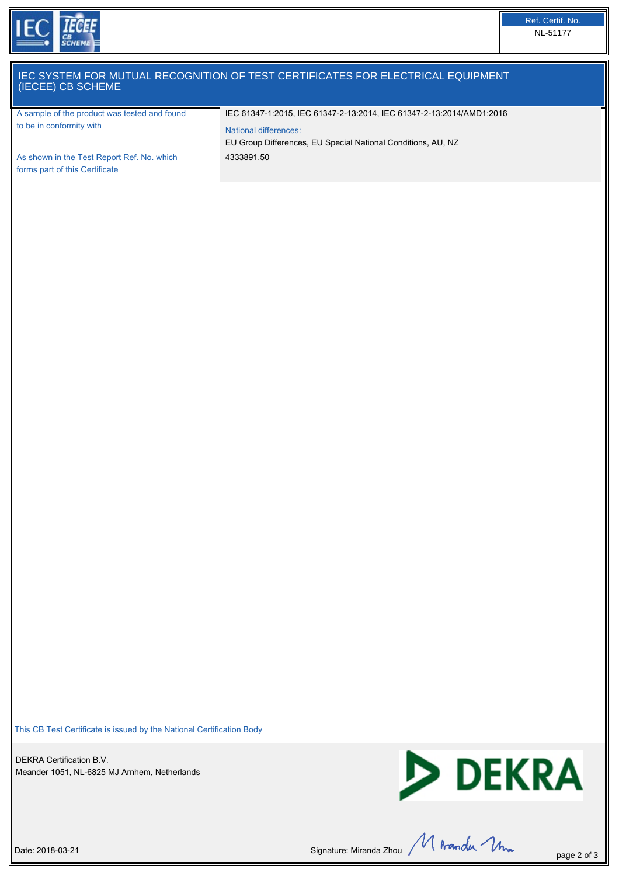

#### IEC SYSTEM FOR MUTUAL RECOGNITION OF TEST CERTIFICATES FOR ELECTRICAL EQUIPMENT (IECEE) CB SCHEME

A sample of the product was tested and found to be in conformity with

IEC 61347-1:2015, IEC 61347-2-13:2014, IEC 61347-2-13:2014/AMD1:2016

EU Group Differences, EU Special National Conditions, AU, NZ

National differences:

4333891.50

As shown in the Test Report Ref. No. which forms part of this Certificate

This CB Test Certificate is issued by the National Certification Body

DEKRA Certification B.V. Meander 1051, NL-6825 MJ Arnhem, Netherlands



Date: 2018-03-21 Signature: Miranda Zhou  $\mathcal{M}$  Aranda  $\mathcal{M}$  Aranda  $\mathcal{M}$